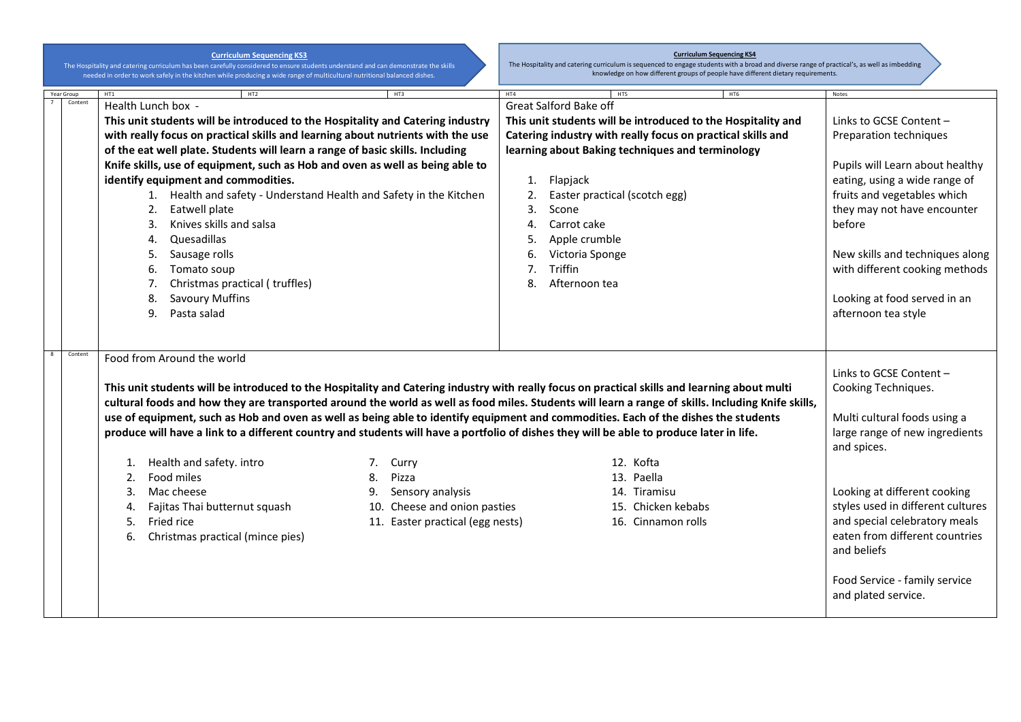**Curriculum Sequencing KS3**

The Hospitality and catering curriculum has been carefully considered to ensure students understand and can demonstrate the skills<br>needed in order to work safely in the kitchen while producing a wide range of multicultural

## **Curriculum Sequencing KS4**

The Hospitality and catering curriculum is sequenced to engage students with a broad and diverse range of practical's, as well as imbedding knowledge on how different groups of people have different dietary requirements.

| Year Group | HT1                                                                             | HT2                                                                                                                                                                                                                                                                                                                                                                                                                                                                                                                                                                                                                  | HT3                              | HT4 | HT5                                                          |                                 | HT6 | Notes                                                                                                                           |
|------------|---------------------------------------------------------------------------------|----------------------------------------------------------------------------------------------------------------------------------------------------------------------------------------------------------------------------------------------------------------------------------------------------------------------------------------------------------------------------------------------------------------------------------------------------------------------------------------------------------------------------------------------------------------------------------------------------------------------|----------------------------------|-----|--------------------------------------------------------------|---------------------------------|-----|---------------------------------------------------------------------------------------------------------------------------------|
| Content    |                                                                                 | Health Lunch box -                                                                                                                                                                                                                                                                                                                                                                                                                                                                                                                                                                                                   |                                  |     | Great Salford Bake off                                       |                                 |     |                                                                                                                                 |
|            |                                                                                 | This unit students will be introduced to the Hospitality and Catering industry                                                                                                                                                                                                                                                                                                                                                                                                                                                                                                                                       |                                  |     | This unit students will be introduced to the Hospitality and |                                 |     | Links to GCSE Content -                                                                                                         |
|            | with really focus on practical skills and learning about nutrients with the use |                                                                                                                                                                                                                                                                                                                                                                                                                                                                                                                                                                                                                      |                                  |     | Catering industry with really focus on practical skills and  | Preparation techniques          |     |                                                                                                                                 |
|            | of the eat well plate. Students will learn a range of basic skills. Including   |                                                                                                                                                                                                                                                                                                                                                                                                                                                                                                                                                                                                                      |                                  |     | learning about Baking techniques and terminology             |                                 |     |                                                                                                                                 |
|            | Knife skills, use of equipment, such as Hob and oven as well as being able to   |                                                                                                                                                                                                                                                                                                                                                                                                                                                                                                                                                                                                                      |                                  |     |                                                              | Pupils will Learn about healthy |     |                                                                                                                                 |
|            |                                                                                 | identify equipment and commodities.                                                                                                                                                                                                                                                                                                                                                                                                                                                                                                                                                                                  |                                  | 1.  | Flapjack                                                     |                                 |     | eating, using a wide range of                                                                                                   |
|            |                                                                                 | 1. Health and safety - Understand Health and Safety in the Kitchen                                                                                                                                                                                                                                                                                                                                                                                                                                                                                                                                                   |                                  | 2.  | Easter practical (scotch egg)                                |                                 |     | fruits and vegetables which                                                                                                     |
|            |                                                                                 | Eatwell plate<br>2.                                                                                                                                                                                                                                                                                                                                                                                                                                                                                                                                                                                                  |                                  | 3.  | Scone                                                        |                                 |     | they may not have encounter                                                                                                     |
|            |                                                                                 | Knives skills and salsa<br>3.                                                                                                                                                                                                                                                                                                                                                                                                                                                                                                                                                                                        |                                  | 4.  | Carrot cake                                                  |                                 |     | before                                                                                                                          |
|            |                                                                                 | Quesadillas<br>4.                                                                                                                                                                                                                                                                                                                                                                                                                                                                                                                                                                                                    |                                  | 5.  | Apple crumble                                                |                                 |     |                                                                                                                                 |
|            |                                                                                 | Sausage rolls<br>5.                                                                                                                                                                                                                                                                                                                                                                                                                                                                                                                                                                                                  |                                  | 6.  | Victoria Sponge                                              |                                 |     | New skills and techniques along                                                                                                 |
|            |                                                                                 | Tomato soup<br>6.                                                                                                                                                                                                                                                                                                                                                                                                                                                                                                                                                                                                    |                                  | 7.  | Triffin                                                      |                                 |     | with different cooking methods                                                                                                  |
|            |                                                                                 | Christmas practical (truffles)<br>7.                                                                                                                                                                                                                                                                                                                                                                                                                                                                                                                                                                                 |                                  | 8.  | Afternoon tea                                                |                                 |     |                                                                                                                                 |
|            |                                                                                 | <b>Savoury Muffins</b><br>8.                                                                                                                                                                                                                                                                                                                                                                                                                                                                                                                                                                                         |                                  |     |                                                              |                                 |     | Looking at food served in an                                                                                                    |
|            |                                                                                 | Pasta salad<br>9.                                                                                                                                                                                                                                                                                                                                                                                                                                                                                                                                                                                                    |                                  |     |                                                              |                                 |     | afternoon tea style                                                                                                             |
|            |                                                                                 |                                                                                                                                                                                                                                                                                                                                                                                                                                                                                                                                                                                                                      |                                  |     |                                                              |                                 |     |                                                                                                                                 |
|            |                                                                                 |                                                                                                                                                                                                                                                                                                                                                                                                                                                                                                                                                                                                                      |                                  |     |                                                              |                                 |     |                                                                                                                                 |
| Content    |                                                                                 | Food from Around the world<br>This unit students will be introduced to the Hospitality and Catering industry with really focus on practical skills and learning about multi<br>cultural foods and how they are transported around the world as well as food miles. Students will learn a range of skills. Including Knife skills,<br>use of equipment, such as Hob and oven as well as being able to identify equipment and commodities. Each of the dishes the students<br>produce will have a link to a different country and students will have a portfolio of dishes they will be able to produce later in life. |                                  |     |                                                              |                                 |     | Links to GCSE Content -<br>Cooking Techniques.<br>Multi cultural foods using a<br>large range of new ingredients<br>and spices. |
|            | 1.                                                                              | Health and safety. intro                                                                                                                                                                                                                                                                                                                                                                                                                                                                                                                                                                                             | Curry                            |     | 12. Kofta                                                    |                                 |     |                                                                                                                                 |
|            | 2.                                                                              | Food miles                                                                                                                                                                                                                                                                                                                                                                                                                                                                                                                                                                                                           | Pizza<br>8.                      |     |                                                              | 13. Paella                      |     |                                                                                                                                 |
|            | 3.                                                                              | Mac cheese                                                                                                                                                                                                                                                                                                                                                                                                                                                                                                                                                                                                           | Sensory analysis<br>9.           |     |                                                              | 14. Tiramisu                    |     | Looking at different cooking                                                                                                    |
|            | 4.                                                                              | Fajitas Thai butternut squash                                                                                                                                                                                                                                                                                                                                                                                                                                                                                                                                                                                        | 10. Cheese and onion pasties     |     |                                                              | 15. Chicken kebabs              |     | styles used in different cultures                                                                                               |
|            | 5.                                                                              | Fried rice                                                                                                                                                                                                                                                                                                                                                                                                                                                                                                                                                                                                           | 11. Easter practical (egg nests) |     |                                                              | 16. Cinnamon rolls              |     | and special celebratory meals                                                                                                   |
|            | 6.                                                                              | Christmas practical (mince pies)                                                                                                                                                                                                                                                                                                                                                                                                                                                                                                                                                                                     |                                  |     |                                                              |                                 |     | eaten from different countries<br>and beliefs                                                                                   |
|            |                                                                                 |                                                                                                                                                                                                                                                                                                                                                                                                                                                                                                                                                                                                                      |                                  |     |                                                              |                                 |     | Food Service - family service<br>and plated service.                                                                            |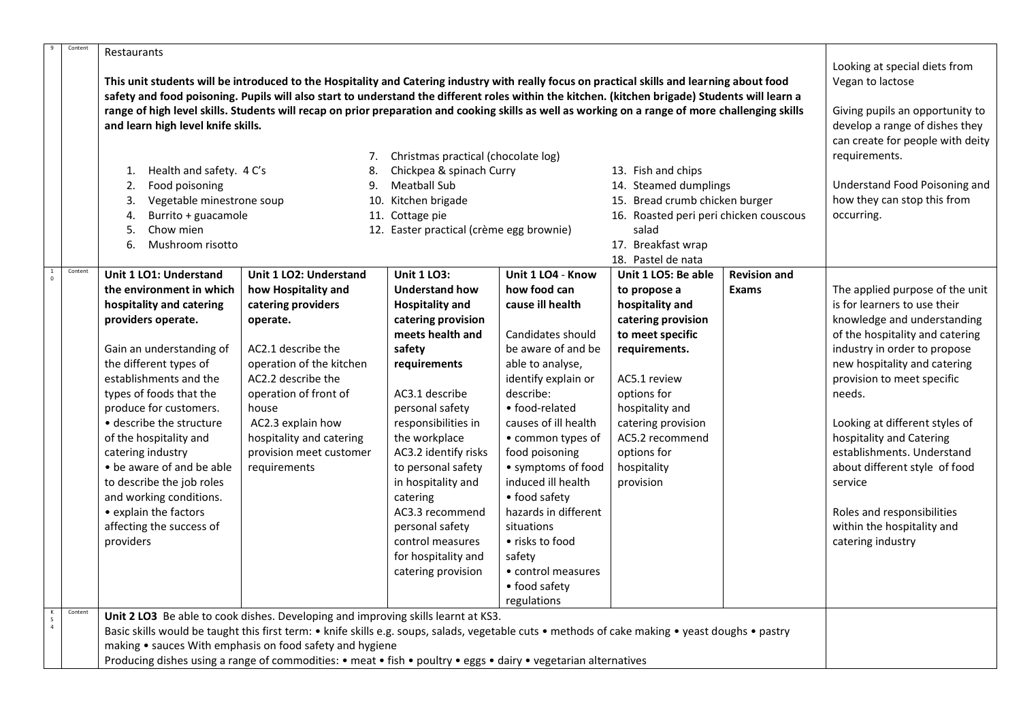| $\overline{q}$ | Content | Restaurants                                                                                                                                                                                                                                                                                     |                                                                                                       |                                          |                                  |                                        |                             |                                 |  |
|----------------|---------|-------------------------------------------------------------------------------------------------------------------------------------------------------------------------------------------------------------------------------------------------------------------------------------------------|-------------------------------------------------------------------------------------------------------|------------------------------------------|----------------------------------|----------------------------------------|-----------------------------|---------------------------------|--|
|                |         | This unit students will be introduced to the Hospitality and Catering industry with really focus on practical skills and learning about food<br>safety and food poisoning. Pupils will also start to understand the different roles within the kitchen. (kitchen brigade) Students will learn a | Looking at special diets from<br>Vegan to lactose                                                     |                                          |                                  |                                        |                             |                                 |  |
|                |         | range of high level skills. Students will recap on prior preparation and cooking skills as well as working on a range of more challenging skills<br>and learn high level knife skills.                                                                                                          | Giving pupils an opportunity to<br>develop a range of dishes they<br>can create for people with deity |                                          |                                  |                                        |                             |                                 |  |
|                |         |                                                                                                                                                                                                                                                                                                 | requirements.                                                                                         |                                          |                                  |                                        |                             |                                 |  |
|                |         | Christmas practical (chocolate log)<br>7.<br>Chickpea & spinach Curry<br>1. Health and safety. 4 C's<br>13. Fish and chips<br>8.                                                                                                                                                                |                                                                                                       |                                          |                                  |                                        |                             |                                 |  |
|                |         | Food poisoning<br>2.                                                                                                                                                                                                                                                                            | 9.                                                                                                    | <b>Meatball Sub</b>                      |                                  | 14. Steamed dumplings                  |                             | Understand Food Poisoning and   |  |
|                |         | Vegetable minestrone soup<br>10. Kitchen brigade<br>3.                                                                                                                                                                                                                                          |                                                                                                       |                                          |                                  | 15. Bread crumb chicken burger         | how they can stop this from |                                 |  |
|                |         | Burrito + guacamole<br>4.                                                                                                                                                                                                                                                                       |                                                                                                       | 11. Cottage pie                          |                                  | 16. Roasted peri peri chicken couscous |                             | occurring.                      |  |
|                |         | Chow mien<br>5.                                                                                                                                                                                                                                                                                 |                                                                                                       | 12. Easter practical (crème egg brownie) |                                  | salad<br>17. Breakfast wrap            |                             |                                 |  |
|                |         | Mushroom risotto<br>6.                                                                                                                                                                                                                                                                          |                                                                                                       |                                          |                                  |                                        |                             |                                 |  |
|                |         |                                                                                                                                                                                                                                                                                                 |                                                                                                       |                                          |                                  | 18. Pastel de nata                     |                             |                                 |  |
| $\Omega$       | Content | Unit 1 LO1: Understand                                                                                                                                                                                                                                                                          | Unit 1 LO2: Understand                                                                                | <b>Unit 1 LO3:</b>                       | Unit 1 LO4 - Know                | Unit 1 LO5: Be able                    | <b>Revision and</b>         |                                 |  |
|                |         | the environment in which                                                                                                                                                                                                                                                                        | how Hospitality and                                                                                   | <b>Understand how</b>                    | how food can                     | to propose a                           | <b>Exams</b>                | The applied purpose of the unit |  |
|                |         | hospitality and catering                                                                                                                                                                                                                                                                        | catering providers                                                                                    | <b>Hospitality and</b>                   | cause ill health                 | hospitality and                        |                             | is for learners to use their    |  |
|                |         | providers operate.                                                                                                                                                                                                                                                                              | operate.                                                                                              | catering provision                       |                                  | catering provision                     |                             | knowledge and understanding     |  |
|                |         |                                                                                                                                                                                                                                                                                                 |                                                                                                       | meets health and                         | Candidates should                | to meet specific                       |                             | of the hospitality and catering |  |
|                |         | Gain an understanding of                                                                                                                                                                                                                                                                        | AC2.1 describe the                                                                                    | safety                                   | be aware of and be               | requirements.                          |                             | industry in order to propose    |  |
|                |         | the different types of                                                                                                                                                                                                                                                                          | operation of the kitchen                                                                              | requirements                             | able to analyse,                 |                                        |                             | new hospitality and catering    |  |
|                |         | establishments and the                                                                                                                                                                                                                                                                          | AC2.2 describe the                                                                                    |                                          | identify explain or<br>describe: | AC5.1 review                           |                             | provision to meet specific      |  |
|                |         | types of foods that the<br>produce for customers.                                                                                                                                                                                                                                               | operation of front of<br>house                                                                        | AC3.1 describe<br>personal safety        | • food-related                   | options for<br>hospitality and         |                             | needs.                          |  |
|                |         | • describe the structure                                                                                                                                                                                                                                                                        | AC2.3 explain how                                                                                     | responsibilities in                      | causes of ill health             | catering provision                     |                             | Looking at different styles of  |  |
|                |         | of the hospitality and                                                                                                                                                                                                                                                                          | hospitality and catering                                                                              | the workplace                            | • common types of                | AC5.2 recommend                        |                             | hospitality and Catering        |  |
|                |         | catering industry                                                                                                                                                                                                                                                                               | provision meet customer                                                                               | AC3.2 identify risks                     | food poisoning                   | options for                            |                             | establishments. Understand      |  |
|                |         | • be aware of and be able                                                                                                                                                                                                                                                                       | requirements                                                                                          | to personal safety                       | • symptoms of food               | hospitality                            |                             | about different style of food   |  |
|                |         | to describe the job roles                                                                                                                                                                                                                                                                       |                                                                                                       | in hospitality and                       | induced ill health               | provision                              |                             | service                         |  |
|                |         | and working conditions.                                                                                                                                                                                                                                                                         |                                                                                                       | catering                                 | • food safety                    |                                        |                             |                                 |  |
|                |         | • explain the factors                                                                                                                                                                                                                                                                           |                                                                                                       | AC3.3 recommend                          | hazards in different             |                                        |                             | Roles and responsibilities      |  |
|                |         | affecting the success of                                                                                                                                                                                                                                                                        |                                                                                                       | personal safety                          | situations                       |                                        |                             | within the hospitality and      |  |
|                |         | providers                                                                                                                                                                                                                                                                                       |                                                                                                       | control measures                         | • risks to food                  |                                        |                             | catering industry               |  |
|                |         |                                                                                                                                                                                                                                                                                                 |                                                                                                       | for hospitality and                      | safety                           |                                        |                             |                                 |  |
|                |         |                                                                                                                                                                                                                                                                                                 |                                                                                                       | catering provision                       | • control measures               |                                        |                             |                                 |  |
|                |         |                                                                                                                                                                                                                                                                                                 |                                                                                                       |                                          | • food safety                    |                                        |                             |                                 |  |
|                |         |                                                                                                                                                                                                                                                                                                 |                                                                                                       |                                          | regulations                      |                                        |                             |                                 |  |
| $\frac{S}{4}$  | Content |                                                                                                                                                                                                                                                                                                 | Unit 2 LO3 Be able to cook dishes. Developing and improving skills learnt at KS3.                     |                                          |                                  |                                        |                             |                                 |  |
|                |         | Basic skills would be taught this first term: • knife skills e.g. soups, salads, vegetable cuts • methods of cake making • yeast doughs • pastry                                                                                                                                                |                                                                                                       |                                          |                                  |                                        |                             |                                 |  |
|                |         | making • sauces With emphasis on food safety and hygiene                                                                                                                                                                                                                                        |                                                                                                       |                                          |                                  |                                        |                             |                                 |  |
|                |         | Producing dishes using a range of commodities: • meat • fish • poultry • eggs • dairy • vegetarian alternatives                                                                                                                                                                                 |                                                                                                       |                                          |                                  |                                        |                             |                                 |  |